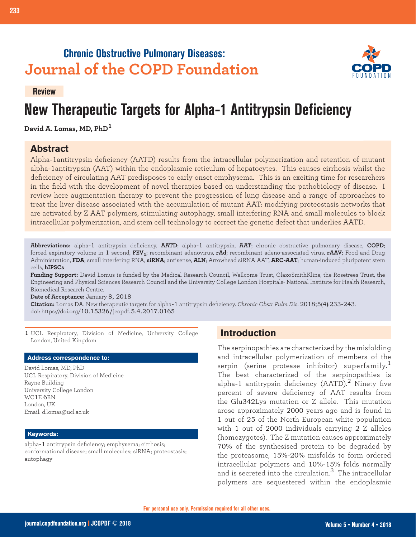## **Chronic Obstructive Pulmonary Diseases: Journal of the COPD Foundation**



#### **Review**

# **New Therapeutic Targets for Alpha-1 Antitrypsin Deficiency**

**David A. Lomas, MD, PhD<sup>1</sup>**

## **Abstract**

Alpha-1antitrypsin deficiency (AATD) results from the intracellular polymerization and retention of mutant alpha-1antitrypsin (AAT) within the endoplasmic reticulum of hepatocytes. This causes cirrhosis whilst the deficiency of circulating AAT predisposes to early onset emphysema. This is an exciting time for researchers in the field with the development of novel therapies based on understanding the pathobiology of disease. I review here augmentation therapy to prevent the progression of lung disease and a range of approaches to treat the liver disease associated with the accumulation of mutant AAT: modifying proteostasis networks that are activated by Z AAT polymers, stimulating autophagy, small interfering RNA and small molecules to block intracellular polymerization, and stem cell technology to correct the genetic defect that underlies AATD.

**Abbreviations:** alpha-1 antitrypsin deficiency, **AATD**; alpha-1 antitrypsin, **AAT**; chronic obstructive pulmonary disease, **COPD**; forced expiratory volume in 1 second, **FEV1**; recombinant adenovirus, **rAd**; recombinant adeno-associated virus, **rAAV**; Food and Drug Administration, **FDA**; small interfering RNA, **siRNA**; antisense, **ALN**; Arrowhead siRNA AAT, **ARC-AAT**; human-induced pluripotent stem cells, **hIPSCs**

**Funding Support:** David Lomus is funded by the Medical Research Council, Wellcome Trust, GlaxoSmithKline, the Rosetrees Trust, the Engineering and Physical Sciences Research Council and the University College London Hospitals- National Institute for Health Research, Biomedical Research Centre.

**Date of Acceptance:** January 8, 2018

**Citation:** Lomas DA. New therapeutic targets for alpha-1 antitrypsin deficiency. *Chronic Obstr Pulm Dis*. 2018;5(4):233-243. doi: https://doi.org/10.15326/jcopdf.5.4.2017.0165

1 UCL Respiratory, Division of Medicine, University College London, United Kingdom

#### **Address correspondence to:**

David Lomas, MD, PhD UCL Respiratory, Division of Medicine Rayne Building University College London WC1E 6BN London, UK Email: d.lomas@ucl.ac.uk

#### **Keywords:**

alpha-1 antitrypsin deficiency; emphysema; cirrhosis; conformational disease; small molecules; siRNA; proteostasis; autophagy

## **Introduction**

The serpinopathies are characterized by the misfolding and intracellular polymerization of members of the serpin (serine protease inhibitor) superfamily.<sup>1</sup> The best characterized of the serpinopathies is alpha-1 antitrypsin deficiency (AATD).<sup>2</sup> Ninety five percent of severe deficiency of AAT results from the Glu342Lys mutation or Z allele. This mutation arose approximately 2000 years ago and is found in 1 out of 25 of the North European white population with 1 out of 2000 individuals carrying 2 Z alleles (homozygotes). The Z mutation causes approximately 70% of the synthesised protein to be degraded by the proteasome, 15%-20% misfolds to form ordered intracellular polymers and 10%-15% folds normally and is secreted into the circulation. $3\,$  The intracellular polymers are sequestered within the endoplasmic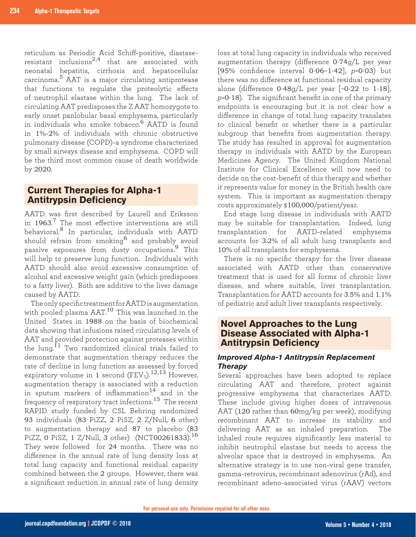reticulum as Periodic Acid Schiff-positive, diastaseresistant inclusions2,4 that are associated with neonatal hepatitis, cirrhosis and hepatocellular carcinoma.5 AAT is a major circulating antiprotease that functions to regulate the proteolytic effects of neutrophil elastase within the lung. The lack of circulating AAT predisposes the Z AAT homozygote to early onset panlobular basal emphysema, particularly in individuals who smoke tobacco.6 AATD is found in 1%-2% of individuals with chronic obstructive pulmonary disease (COPD)-a syndrome characterized by small airways disease and emphysema. COPD will be the third most common cause of death worldwide by 2020.

## **Current Therapies for Alpha-1 Antitrypsin Deficiency**

AATD was first described by Laurell and Eriksson in  $1963$ .<sup>7</sup> The most effective interventions are still behavioral.8 In particular, individuals with AATD should refrain from smoking6 and probably avoid passive exposures from dusty occupations.9 This will help to preserve lung function. Individuals with AATD should also avoid excessive consumption of alcohol and excessive weight gain (which predisposes to a fatty liver). Both are additive to the liver damage caused by AATD.

The only specific treatment for AATD is augmentation with pooled plasma AAT.<sup>10</sup> This was launched in the United States in 1988 on the basis of biochemical data showing that infusions raised circulating levels of AAT and provided protection against proteases within the lung.<sup>11</sup> Two randomized clinical trials failed to demonstrate that augmentation therapy reduces the rate of decline in lung function as assessed by forced expiratory volume in 1 second  $(FEV_1)$ .<sup>12,13</sup> However, augmentation therapy is associated with a reduction in sputum markers of inflammation<sup>14</sup> and in the frequency of respiratory tract infections.15 The recent RAPID study funded by CSL Behring randomized 93 individuals (83 PiZZ, 2 PiSZ, 2 Z/Null, 6 other) to augmentation therapy and 87 to placebo (83 PiZZ, 0 PiSZ, 1 Z/Null, 3 other) (NCT00261833).<sup>16</sup> They were followed for 24 months. There was no difference in the annual rate of lung density loss at total lung capacity and functional residual capacity combined between the 2 groups. However, there was a significant reduction in annual rate of lung density

loss at total lung capacity in individuals who received augmentation therapy (difference 0·74g/L per year [95% confidence interval 0·06–1·42], *p*=0·03) but there was no difference at functional residual capacity alone (difference  $0.48g/L$  per year  $[-0.22$  to  $1.18]$ , *p*=0·18). The significant benefit in one of the primary endpoints is encouraging but it is not clear how a difference in change of total lung capacity translates to clinical benefit or whether there is a particular subgroup that benefits from augmentation therapy. The study has resulted in approval for augmentation therapy in individuals with AATD by the European Medicines Agency. The United Kingdom National Institute for Clinical Excellence will now need to decide on the cost-benefit of this therapy and whether it represents value for money in the British health care system. This is important as augmentation therapy costs approximately \$100,000/patient/year.

End stage lung disease in individuals with AATD may be suitable for transplantation. Indeed, lung transplantation for AATD-related emphysema accounts for 3.2% of all adult lung transplants and 10% of all transplants for emphysema.

There is no specific therapy for the liver disease associated with AATD other than conservative treatment that is used for all forms of chronic liver disease, and where suitable, liver transplantation. Transplantation for AATD accounts for 3.5% and 1.1% of pediatric and adult liver transplants respectively.

## **Novel Approaches to the Lung Disease Associated with Alpha-1 Antitrypsin Deficiency**

## *Improved Alpha-1 Antitrypsin Replacement Therapy*

Several approaches have been adopted to replace circulating AAT and therefore, protect against progressive emphysema that characterizes AATD. These include giving higher doses of intravenous AAT (120 rather than 60mg/kg per week), modifying recombinant AAT to increase its stability and delivering AAT as an inhaled preparation. The inhaled route requires significantly less material to inhibit neutrophil elastase but needs to access the alveolar space that is destroyed in emphysema. An alternative strategy is to use non-viral gene transfer, gamma-retrovirus, recombinant adenovirus (rAd), and recombinant adeno-associated virus (rAAV) vectors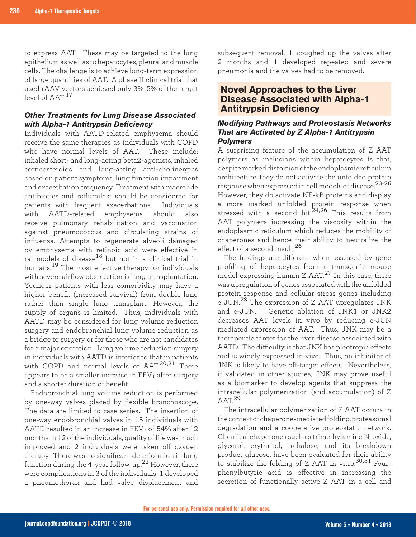to express AAT. These may be targeted to the lung epithelium as well as to hepatocytes, pleural and muscle cells. The challenge is to achieve long-term expression of large quantities of AAT. A phase II clinical trial that used rAAV vectors achieved only 3%-5% of the target level of AAT<sup>17</sup>

## *Other Treatments for Lung Disease Associated with Alpha-1 Antitrypsin Deficiency*

Individuals with AATD-related emphysema should receive the same therapies as individuals with COPD who have normal levels of AAT. These include: inhaled short- and long-acting beta2-agonists, inhaled corticosteroids and long-acting anti-cholinergics based on patient symptoms, lung function impairment and exacerbation frequency. Treatment with macrolide antibiotics and roflumilast should be considered for patients with frequent exacerbations. Individuals with AATD-related emphysema should also receive pulmonary rehabilitation and vaccination against pneumococcus and circulating strains of influenza. Attempts to regenerate alveoli damaged by emphysema with retinoic acid were effective in rat models of disease18 but not in a clinical trial in humans.19 The most effective therapy for individuals with severe airflow obstruction is lung transplantation. Younger patients with less comorbidity may have a higher benefit (increased survival) from double lung rather than single lung transplant. However, the supply of organs is limited. Thus, individuals with AATD may be considered for lung volume reduction surgery and endobronchial lung volume reduction as a bridge to surgery or for those who are not candidates for a major operation. Lung volume reduction surgery in individuals with AATD is inferior to that in patients with COPD and normal levels of AAT.<sup>20,21</sup> There appears to be a smaller increase in  $FEV<sub>1</sub>$  after surgery and a shorter duration of benefit.

Endobronchial lung volume reduction is performed by one-way valves placed by flexible bronchoscope. The data are limited to case series. The insertion of one-way endobronchial valves in 15 individuals with AATD resulted in an increase in  $\text{FEV}_1$  of 54% after 12 months in 12 of the individuals, quality of life was much improved and 2 individuals were taken off oxygen therapy. There was no significant deterioration in lung function during the 4-year follow-up.22 However, there were complications in 3 of the individuals: 1 developed a pneumothorax and had valve displacement and

subsequent removal, 1 coughed up the valves after 2 months and 1 developed repeated and severe pneumonia and the valves had to be removed.

## **Novel Approaches to the Liver Disease Associated with Alpha-1 Antitrypsin Deficiency**

#### *Modifying Pathways and Proteostasis Networks That are Activated by Z Alpha-1 Antitrypsin Polymers*

A surprising feature of the accumulation of Z AAT polymers as inclusions within hepatocytes is that, despite marked distortion of the endoplasmic reticulum architecture, they do not activate the unfolded protein response when expressed in cell models of disease.<sup>23-26</sup> However, they do activate NF-kB proteins and display a more marked unfolded protein response when stressed with a second hit. $24,26$  This results from AAT polymers increasing the viscosity within the endoplasmic reticulum which reduces the mobility of chaperones and hence their ability to neutralize the effect of a second insult. $^{26}$ 

The findings are different when assessed by gene profiling of hepatocytes from a transgenic mouse model expressing human Z AAT.<sup>27</sup> In this case, there was upregulation of genes associated with the unfolded protein response and cellular stress genes including c-JUN.<sup>28</sup> The expression of Z AAT upregulates JNK and c-JUN. Genetic ablation of JNK1 or JNK2 decreases AAT levels in vivo by reducing c-JUN mediated expression of AAT. Thus, JNK may be a therapeutic target for the liver disease associated with AATD. The difficulty is that JNK has pleotropic effects and is widely expressed in vivo. Thus, an inhibitor of JNK is likely to have off-target effects. Nevertheless, if validated in other studies, JNK may prove useful as a biomarker to develop agents that suppress the intracellular polymerization (and accumulation) of Z  $AAT<sup>29</sup>$ 

The intracellular polymerization of Z AAT occurs in the context of chaperone-mediated folding, proteasomal degradation and a cooperative proteostatic network. Chemical chaperones such as trimethylamine N-oxide, glycerol, erythritol, trehalose, and its breakdown product glucose, have been evaluated for their ability to stabilize the folding of Z AAT in vitro. $30,31$  Fourphenylbutyric acid is effective in increasing the secretion of functionally active Z AAT in a cell and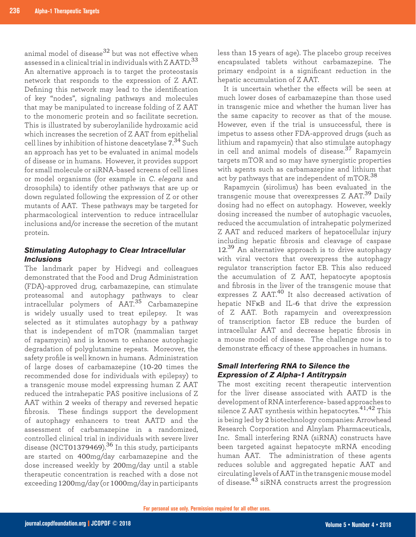animal model of disease $32$  but was not effective when assessed in a clinical trial in individuals with Z AATD. 33 An alternative approach is to target the proteostasis network that responds to the expression of Z AAT. Defining this network may lead to the identification of key "nodes", signaling pathways and molecules that may be manipulated to increase folding of Z AAT to the monomeric protein and so facilitate secretion. This is illustrated by suberoylanilide hydroxamic acid which increases the secretion of Z AAT from epithelial cell lines by inhibition of histone deacetylase 7. <sup>34</sup> Such an approach has yet to be evaluated in animal models of disease or in humans. However, it provides support for small molecule or siRNA-based screens of cell lines or model organisms (for example in *C. elegans* and drosophila) to identify other pathways that are up or down regulated following the expression of Z or other mutants of AAT. These pathways may be targeted for pharmacological intervention to reduce intracellular inclusions and/or increase the secretion of the mutant protein.

### *Stimulating Autophagy to Clear Intracellular Inclusions*

The landmark paper by Hidvegi and colleagues demonstrated that the Food and Drug Administration (FDA)-approved drug, carbamazepine, can stimulate proteasomal and autophagy pathways to clear intracellular polymers of AAT.35 Carbamazepine is widely usually used to treat epilepsy. It was selected as it stimulates autophagy by a pathway that is independent of mTOR (mammalian target of rapamycin) and is known to enhance autophagic degradation of polyglutamine repeats. Moreover, the safety profile is well known in humans. Administration of large doses of carbamazepine (10-20 times the recommended dose for individuals with epilepsy) to a transgenic mouse model expressing human Z AAT reduced the intrahepatic PAS positive inclusions of Z AAT within 2 weeks of therapy and reversed hepatic fibrosis. These findings support the development of autophagy enhancers to treat AATD and the assessment of carbamazepine in a randomized, controlled clinical trial in individuals with severe liver disease (NCT01379469).<sup>36</sup> In this study, participants are started on 400mg/day carbamazepine and the dose increased weekly by 200mg/day until a stable therapeutic concentration is reached with a dose not exceeding 1200mg/day (or 1000mg/day in participants

less than 15 years of age). The placebo group receives encapsulated tablets without carbamazepine. The primary endpoint is a significant reduction in the hepatic accumulation of Z AAT.

It is uncertain whether the effects will be seen at much lower doses of carbamazepine than those used in transgenic mice and whether the human liver has the same capacity to recover as that of the mouse. However, even if the trial is unsuccessful, there is impetus to assess other FDA-approved drugs (such as lithium and rapamycin) that also stimulate autophagy in cell and animal models of disease.37 Rapamycin targets mTOR and so may have synergistic properties with agents such as carbamazepine and lithium that act by pathways that are independent of  $mTOR.^{38}$ 

Rapamycin (sirolimus) has been evaluated in the transgenic mouse that overexpresses Z AAT.39 Daily dosing had no effect on autophagy. However, weekly dosing increased the number of autophagic vacuoles, reduced the accumulation of intrahepatic polymerized Z AAT and reduced markers of hepatocellular injury including hepatic fibrosis and cleavage of caspase 12.<sup>39</sup> An alternative approach is to drive autophagy with viral vectors that overexpress the autophagy regulator transcription factor EB. This also reduced the accumulation of Z AAT, hepatocyte apoptosis and fibrosis in the liver of the transgenic mouse that expresses Z AAT.<sup>40</sup> It also decreased activation of hepatic NFκB and IL-6 that drive the expression of Z AAT. Both rapamycin and overexpression of transcription factor EB reduce the burden of intracellular AAT and decrease hepatic fibrosis in a mouse model of disease. The challenge now is to demonstrate efficacy of these approaches in humans.

## *Small Interfering RNA to Silence the Expression of Z Alpha-1 Antitrypsin*

The most exciting recent therapeutic intervention for the liver disease associated with AATD is the development of RNA interference- based approaches to silence Z AAT synthesis within hepatocytes.<sup>41,42</sup> This is being led by 2 biotechnology companies: Arrowhead Research Corporation and Alnylam Pharmaceuticals, Inc. Small interfering RNA (siRNA) constructs have been targeted against hepatocyte mRNA encoding human AAT. The administration of these agents reduces soluble and aggregated hepatic AAT and circulating levels of AAT in the transgenic mouse model of disease.43 siRNA constructs arrest the progression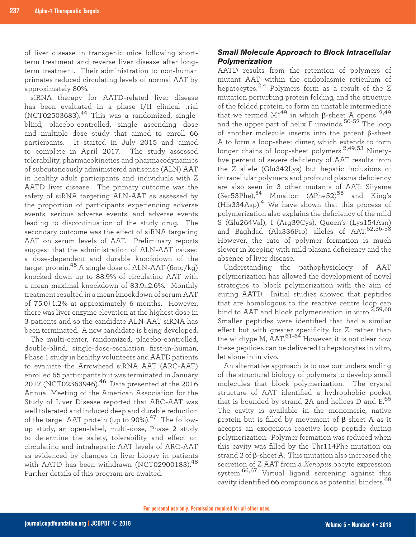of liver disease in transgenic mice following shortterm treatment and reverse liver disease after longterm treatment. Their administration to non-human primates reduced circulating levels of normal AAT by approximately 80%.

siRNA therapy for AATD-related liver disease has been evaluated in a phase I/II clinical trial  $(NCT02503683).$ <sup>44</sup> This was a randomized, singleblind, placebo-controlled, single ascending dose and multiple dose study that aimed to enroll 66 participants. It started in July 2015 and aimed to complete in April 2017. The study assessed tolerability, pharmacokinetics and pharmacodynamics of subcutaneously administered antisense (ALN) AAT in healthy adult participants and individuals with Z AATD liver disease. The primary outcome was the safety of siRNA targeting ALN-AAT as assessed by the proportion of participants experiencing adverse events, serious adverse events, and adverse events leading to discontinuation of the study drug. The secondary outcome was the effect of siRNA targeting AAT on serum levels of AAT. Preliminary reports suggest that the administration of ALN-AAT caused a dose-dependent and durable knockdown of the target protein.45 A single dose of ALN-AAT (6mg/kg) knocked down up to 88.9% of circulating AAT with a mean maximal knockdown of 83.9±2.6%. Monthly treatment resulted in a mean knockdown of serum AAT of 75.0±1.2% at approximately 6 months. However, there was liver enzyme elevation at the highest dose in 3 patients and so the candidate ALN-AAT siRNA has been terminated. A new candidate is being developed.

The multi-center, randomized, placebo-controlled, double-blind, single-dose-escalation first-in-human, Phase 1 study in healthy volunteers and AATD patients to evaluate the Arrowhead siRNA AAT (ARC-AAT) enrolled 65 participants but was terminated in January 2017 (NCT02363946).46 Data presented at the 2016 Annual Meeting of the American Association for the Study of Liver Disease reported that ARC-AAT was well tolerated and induced deep and durable reduction of the target AAT protein (up to 90%).47 The followup study, an open-label, multi-dose, Phase 2 study to determine the safety, tolerability and effect on circulating and intrahepatic AAT levels of ARC-AAT as evidenced by changes in liver biopsy in patients with AATD has been withdrawn (NCT02900183).<sup>48</sup> Further details of this program are awaited.

## *Small Molecule Approach to Block Intracellular Polymerization*

AATD results from the retention of polymers of mutant AAT within the endoplasmic reticulum of hepatocytes.<sup>2,4</sup> Polymers form as a result of the Z mutation perturbing protein folding, and the structure of the folded protein, to form an unstable intermediate that we termed  $M*49$  in which β-sheet A opens 2,49 and the upper part of helix F unwinds.<sup>50-52</sup> The loop of another molecule inserts into the patent β-sheet A to form a loop-sheet dimer, which extends to form longer chains of loop-sheet polymers.<sup>2,49,53</sup> Ninetyfive percent of severe deficiency of AAT results from the Z allele (Glu342Lys) but hepatic inclusions of intracellular polymers and profound plasma deficiency are also seen in 3 other mutants of AAT: Siiyama (Ser53Phe),<sup>54</sup> Mmalton (ΔPhe52)<sup>55</sup> and King's  $(His334Asp)<sup>4</sup>$  We have shown that this process of polymerization also explains the deficiency of the mild S (Glu264Val), I (Arg39Cys), Queen's (Lys154Asn) and Baghdad (Ala336Pro) alleles of AAT.<sup>52,56-58</sup> However, the rate of polymer formation is much slower in keeping with mild plasma deficiency and the absence of liver disease.

Understanding the pathophysiology of AAT polymerization has allowed the development of novel strategies to block polymerization with the aim of curing AATD. Initial studies showed that peptides that are homologous to the reactive centre loop can bind to AAT and block polymerisation in vitro. $^{2,59,60}$ Smaller peptides were identified that had a similar effect but with greater specificity for Z, rather than the wildtype M,  $\text{AAT}$ .<sup>61-64</sup> However, it is not clear how these peptides can be delivered to hepatocytes in vitro, let alone in in vivo.

An alternative approach is to use our understanding of the structural biology of polymers to develop small molecules that block polymerization. The crystal structure of AAT identified a hydrophobic pocket that is bounded by strand 2A and helices D and E.<sup>65</sup> The cavity is available in the monomeric, native protein but is filled by movement of β-sheet A as it accepts an exogenous reactive loop peptide during polymerization. Polymer formation was reduced when this cavity was filled by the Thr114Phe mutation on strand 2 of β-sheet A. This mutation also increased the secretion of Z AAT from a *Xenopus* oocyte expression system.66,67 Virtual ligand screening against this cavity identified 66 compounds as potential binders.<sup>68</sup>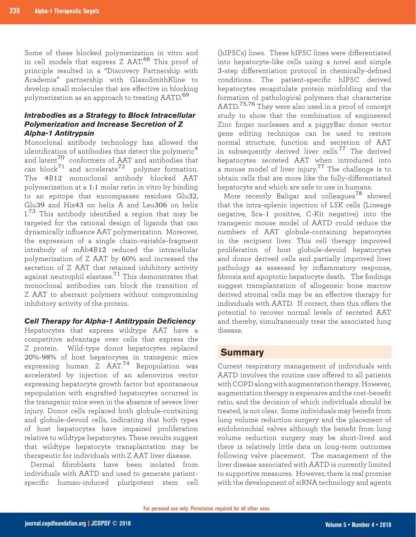Some of these blocked polymerization in vitro and in cell models that express Z AAT.68 This proof of principle resulted in a "Discovery Partnership with Academia" partnership with GlaxoSmithKline to develop small molecules that are effective in blocking polymerization as an approach to treating AATD.<sup>69</sup>

#### *Intrabodies as a Strategy to Block Intracellular Polymerization and Increase Secretion of Z Alpha-1 Antitrypsin*

Monoclonal antibody technology has allowed the identification of antibodies that detect the polymeric<sup>4</sup> and latent<sup>70</sup> conformers of AAT and antibodies that can block $^{71}$  and accelerate $^{72}$  polymer formation. The 4B12 monoclonal antibody blocked AAT polymerization at a 1:1 molar ratio in vitro by binding to an epitope that encompasses residues Glu32, Glu39 and His43 on helix A and Leu306 on helix I.<sup>73</sup> This antibody identified a region that may be targeted for the rational design of ligands that can dynamically influence AAT polymerization. Moreover, the expression of a single chain-variable-fragment intrabody of mAb4B12 reduced the intracellular polymerization of Z AAT by 60% and increased the secretion of Z AAT that retained inhibitory activity against neutrophil elastase.<sup>71</sup> This demonstrates that monoclonal antibodies can block the transition of Z AAT to aberrant polymers without compromising inhibitory activity of the protein.

### *Cell Therapy for Alpha-1 Antitrypsin Deficiency*

Hepatocytes that express wildtype AAT have a competitive advantage over cells that express the Z protein. Wild-type donor hepatocytes replaced 20%-98% of host hepatocytes in transgenic mice expressing human Z AAT.74 Repopulation was accelerated by injection of an adenovirus vector expressing hepatocyte growth factor but spontaneous repopulation with engrafted hepatocytes occurred in the transgenic mice even in the absence of severe liver injury. Donor cells replaced both globule-containing and globule-devoid cells, indicating that both types of host hepatocytes have impaired proliferation relative to wildtype hepatocytes. These results suggest that wildtype hepatocyte transplantation may be therapeutic for individuals with Z AAT liver disease.

Dermal fibroblasts have been isolated from individuals with AATD and used to generate patientspecific human-induced pluripotent stem cell

(hIPSCs) lines. These hIPSC lines were differentiated into hepatocyte-like cells using a novel and simple 3-step differentiation protocol in chemically-defined conditions. The patient-specific hIPSC derived hepatocytes recapitulate protein misfolding and the formation of pathological polymers that characterize AATD.75,76 They were also used in a proof of concept study to show that the combination of engineered Zinc finger nucleases and a piggyBac donor vector gene editing technique can be used to restore normal structure, function and secretion of AAT in subsequently derived liver cells.<sup>77</sup> The derived hepatocytes secreted AAT when introduced into a mouse model of liver injury.77 The challenge is to obtain cells that are more like the fully-differentiated hepatocyte and which are safe to use in humans.

More recently Baligar and colleagues<sup>78</sup> showed that the intra-splenic injection of LSK cells (Lineage negative, Sca-1 positive, C-Kit negative) into the transgenic mouse model of AATD could reduce the numbers of AAT globule-containing hepatocytes in the recipient liver. This cell therapy improved proliferation of host globule-devoid hepatocytes and donor derived cells and partially improved liver pathology as assessed by inflammatory response, fibrosis and apoptotic hepatocyte death. The findings suggest transplantation of allogeneic bone marrow derived stromal cells may be an effective therapy for individuals with AATD. If correct, then this offers the potential to recover normal levels of secreted AAT and thereby, simultaneously treat the associated lung disease.

## **Summary**

Current respiratory management of individuals with AATD involves the routine care offered to all patients with COPD along with augmentation therapy. However, augmentation therapy is expensive and the cost-benefit ratio, and the decision of which individuals should be treated, is not clear. Some individuals may benefit from lung volume reduction surgery and the placement of endobronchial valves although the benefit from lung volume reduction surgery may be short-lived and there is relatively little data on long-term outcomes following valve placement. The management of the liver disease associated with AATD is currently limited to supportive measures. However, there is real promise with the development of siRNA technology and agents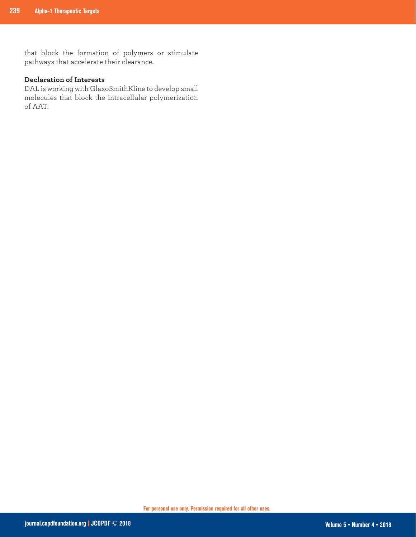that block the formation of polymers or stimulate pathways that accelerate their clearance.

## **Declaration of Interests**

DAL is working with GlaxoSmithKline to develop small molecules that block the intracellular polymerization of AAT.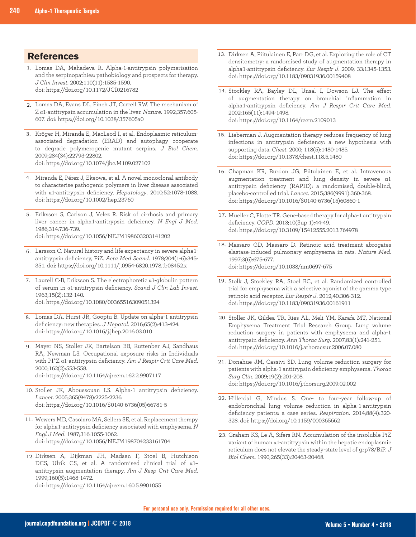## **References**

- 1. Lomas DA, Mahadeva R. Alpha-1-antitrypsin polymerisation and the serpinopathies: pathobiology and prospects for therapy. *J Clin Invest*. 2002;110(11):1585-1590. doi: https://doi.org/10.1172/JCI0216782
- 2. Lomas DA, Evans DL, Finch JT, Carrell RW. The mechanism of Z a1-antitrypsin accumulation in the liver. *Nature*. 1992;357:605-607. doi: https://doi.org/10.1038/357605a0
- 3. Kröger H, Miranda E, MacLeod I, et al. Endoplasmic reticulumassociated degradation (ERAD) and autophagy cooperate to degrade polymerogenic mutant serpins. *J Biol Chem*. 2009;284(34):22793-22802. doi: https://doi.org/10.1074/jbc.M109.027102
- Miranda E, Pérez J, Ekeowa, et al. A novel monoclonal antibody 4. to characterise pathogenic polymers in liver disease associated with a1-antitrypsin deficiency. *Hepatology*. 2010;52:1078-1088. doi: https://doi.org/10.1002/hep.23760
- Eriksson S, Carlson J, Velez R. Risk of cirrhosis and primary 5. liver cancer in alpha1-antitrypsin deficiency. *N Engl J Med*. 1986;314:736-739. doi: https://doi.org/10.1056/NEJM198603203141202
- Larsson C. Natural history and life expectancy in severe alpha1- 6. antitrypsin deficiency, PiZ. *Acta Med Scand*. 1978;204(1-6):345- 351. doi: https://doi.org/10.1111/j.0954-6820.1978.tb08452.x
- 7. Laurell C-B, Eriksson S. The electrophoretic  $\alpha$ 1-globulin pattern of serum in 1-antitrypsin deficiency. *Scand J Clin Lab Invest.*  1963;15(2):132-140. doi: https://doi.org/10.1080/00365516309051324
- Lomas DA, Hurst JR, Gooptu B. Update on alpha-1 antitrypsin 8. deficiency: new therapies. *J Hepatol*. 2016;65(2):413-424. doi: https://doi.org/10.1016/j.jhep.2016.03.010
- Mayer NS, Stoller JK, Bartelson BB, Ruttenber AJ, Sandhaus 9. RA, Newman LS. Occupational exposure risks in Individuals with PI\*Z a1-antitrypsin deficiency. Am J Respir Crit Care Med. 2000;162(2):553-558. doi: https://doi.org/10.1164/ajrccm.162.2.9907117
- 10. Stoller JK, Aboussouan LS. Alpha-1 antitrypsin deficiency. *Lancet*. 2005;365(9478):2225-2236. doi: https://doi.org/10.1016/S0140-6736(05)66781-5
- 11. Wewers MD, Casolaro MA, Sellers SE, et al. Replacement therapy for alpha1-antitrypsin deficiency associated with emphysema. *N Engl J Med*. 1987;316:1055-1062. doi: https://doi.org/10.1056/NEJM198704233161704
- 12. Dirksen A, Dijkman JH, Madsen F, Stoel B, Hutchison DCS, Ulrik CS, et al. A randomised clinical trial of  $\alpha$ 1antitrypsin augmentation therapy. *Am J Resp Crit Care Med*. 1999;160(5):1468-1472.

doi: https://doi.org/10.1164/ajrccm.160.5.9901055

- 13. Dirksen A, Piitulainen E, Parr DG, et al. Exploring the role of CT densitometry: a randomised study of augmentation therapy in alpha1-antitrypsin deficiency. *Eur Respir J*. 2009; 33:1345-1353. doi: https://doi.org/10.1183/09031936.00159408
- 14. Stockley RA, Bayley DL, Unsal I, Dowson LJ. The effect of augmentation therapy on bronchial inflammation in alpha1-antitrypsin deficiency. *Am J Respir Crit Care Med*. 2002;165(11):1494-1498. doi: https://doi.org/10.1164/rccm.2109013
- 15. Lieberman J. Augmentation therapy reduces frequency of lung infections in antitrypsin deficiency: a new hypothesis with supporting data. *Chest*. 2000; 118(5):1480-1485. doi: https://doi.org/10.1378/chest.118.5.1480
- 16. Chapman KR, Burdon JG, Piitulainen E, et al. Intravenous augmentation treatment and lung density in severe α1 antitrypsin deficiency (RAPID): a randomised, double-blind, placebo-controlled trial. *Lancet*. 2015;386(9991):360-368. doi: https://doi.org/10.1016/S0140-6736(15)60860-1
- 17. Mueller C, Flotte TR. Gene-based therapy for alpha-1 antitrypsin deficiency. *COPD*. 2013;10(Sup 1):44-49. doi: https://doi.org/10.3109/15412555.2013.764978
- 18. Massaro GD, Massaro D. Retinoic acid treatment abrogates elastase-induced pulmonary emphysema in rats. *Nature Med*. 1997;3(6):675-677. doi: https://doi.org/10.1038/nm0697-675
- 19. Stolk J, Stockley RA, Stoel BC, et al. Randomized controlled trial for emphysema with a selective agonist of the gamma type retinoic acid receptor. *Eur Respir J*. 2012;40:306-312. doi: https://doi.org/10.1183/09031936.00161911
- 20. Stoller JK, Gildea TR, Ries AL, Meli YM, Karafa MT, National Emphysema Treatment Trial Research Group. Lung volume reduction surgery in patients with emphysema and alpha-1 antitrypsin deficiency. *Ann Thorac Surg*. 2007;83(1):241-251. doi: https://doi.org/10.1016/j.athoracsur.2006.07.080
- 21. Donahue JM, Cassivi SD. Lung volume reduction surgery for patients with alpha-1 antitrypsin deficiency emphysema. *Thorac Surg Clin*. 2009;19(2):201-208. doi: https://doi.org/10.1016/j.thorsurg.2009.02.002
- 22. Hillerdal G, Mindus S. One- to four-year follow-up of endobronchial lung volume reduction in alpha-1-antitrypsin deficiency patients: a case series. *Respiration*. 2014;88(4):320- 328. doi: https://doi.org/10.1159/000365662
- 23. Graham KS, Le A, Sifers RN. Accumulation of the insoluble PiZ variant of human  $\alpha$ 1-antitrypsin within the hepatic endoplasmic reticulum does not elevate the steady-state level of grp78/BiP. *J Biol Chem*. 1990;265(33):20463-20468.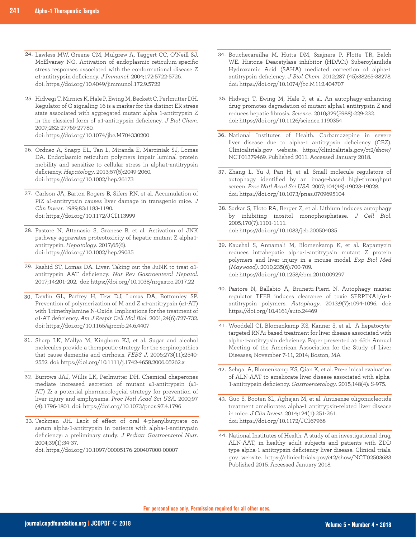- 24. Lawless MW, Greene CM, Mulgrew A, Taggert CC, O'Neill SJ, McElvaney NG. Activation of endoplasmic reticulum-specific stress responses associated with the conformational disease Z 1-antitrypsin deficiency. *J Immunol*. 2004;172:5722-5726. doi: https://doi.org/10.4049/jimmunol.172.9.5722
- 25. Hidvegi T, Mirnics K, Hale P, Ewing M, Beckett C, Perlmutter DH. Regulator of G signaling 16 is a marker for the distinct ER stress state associated with aggregated mutant alpha 1-antitrypsin Z in the classical form of a1-antitrypsin deficiency. *J Biol Chem.* 2007;282: 27769-27780. doi: https://doi.org/10.1074/jbc.M704330200
- 26. Ordnez A, Snapp EL, Tan L, Miranda E, Marciniak SJ, Lomas DA. Endoplasmic reticulum polymers impair luminal protein mobility and sensitize to cellular stress in alpha1-antitrypsin deficiency. *Hepatology*. 2013;57(5):2049-2060. doi: https://doi.org/10.1002/hep.26173
- 27. Carlson JA, Barton Rogers B, Sifers RN, et al. Accumulation of PiZ  $\alpha$ 1-antitrypsin causes liver damage in transgenic mice.  $J$ *Clin Invest*. 1989;83:1183-1190. doi: https://doi.org/10.1172/JCI113999
- 28. Pastore N, Attanasio S, Granese B, et al. Activation of JNK pathway aggravates proteotoxicity of hepatic mutant Z alpha1 antitrypsin. *Hepatology*. 2017;65(6). doi: https://doi.org/10.1002/hep.29035
- 29. Rashid ST, Lomas DA. Liver: Taking out the JuNK to treat  $\mathfrak{a}1$ antitrypsin AAT deficiency. *Nat Rev Gastroenterol Hepatol*. 2017;14:201-202. doi: https://doi.org/10.1038/nrgastro.2017.22
- 30. Devlin GL, Parfrey H, Tew DJ, Lomas DA, Bottomley SP. Prevention of polymerization of M and Z  $\alpha$ 1-antitrypsin ( $\alpha$ 1-AT) with Trimethylamine N-Oxide. Implications for the treatment of 1-AT deficiency. *Am J Respir Cell Mol Biol*. 2001;24(6):727-732. doi: https://doi.org/10.1165/ajrcmb.24.6.4407
- 31. Sharp LK, Mallya M, Kinghorn KJ, et al. Sugar and alcohol molecules provide a therapeutic strategy for the serpinopathies that cause dementia and cirrhosis. *FEBS J*. 2006;273(11):2540- 2552. doi: https://doi.org/10.1111/j.1742-4658.2006.05262.x
- 32. Burrows JAJ, Willis LK, Perlmutter DH. Chemical chaperones mediate increased secretion of mutant  $\alpha$ 1-antitrypsin ( $\alpha$ 1-AT) Z: a potential pharmacologcial strategy for prevention of liver injury and emphysema. *Proc Natl Acad Sci USA*. 2000;97 (4):1796-1801. doi: https://doi.org/10.1073/pnas.97.4.1796
- Teckman JH. Lack of effect of oral 4-phenylbutyrate on 33. serum alpha-1-antitrypsin in patients with alpha-1-antitrypsin deficiency: a preliminary study. *J Pediatr Gastroenterol Nutr*. 2004;39(1):34-37.

doi: https://doi.org/10.1097/00005176-200407000-00007

- 34. Bouchecareilha M, Hutta DM, Szajnera P, Flotte TR, Balch WE. Histone Deacetylase inhibitor (HDACi) Suberoylanilide Hydroxamic Acid (SAHA) mediated correction of alpha-1 antitrypsin deficiency. *J Biol Chem*. 2012;287 (45):38265-38278. doi: https://doi.org/10.1074/jbc.M112.404707
- 35. Hidvegi T, Ewing M, Hale P, et al. An autophagy-enhancing drug promotes degradation of mutant alpha1-antitrypsin Z and reduces hepatic fibrosis. *Science*. 2010;329(5988):229-232. doi: https://doi.org/10.1126/science.1190354
- 36. National Institutes of Health. Carbamazepine in severe liver disease due to alpha-1 antitrypsin deficiency (CBZ). Clinicaltrials.gov website. https://clinicaltrials.gov/ct2/show/ NCT01379469. Published 2011. Accessed January 2018.
- 37. Zhang L, Yu J, Pan H, et al. Small molecule regulators of autophagy identified by an image-based high-throughput screen. *Proc Natl Acad Sci USA*. 2007;104(48):19023-19028. doi: https://doi.org/10.1073/pnas.0709695104
- 38. Sarkar S, Floto RA, Berger Z, et al. Lithium induces autophagy by inhibiting inositol monophosphatase. *J Cell Biol*. 2005;170(7):1101-1111. doi: https://doi.org/10.1083/jcb.200504035
- 39. Kaushal S, Annamali M, Blomenkamp K, et al. Rapamycin reduces intrahepatic alpha-1-antitrypsin mutant Z protein polymers and liver injury in a mouse model. *Exp Biol Med (Maywood)*. 2010;235(6):700-709. doi: https://doi.org/10.1258/ebm.2010.009297
- 40. Pastore N, Ballabio A, Brunetti-Pierri N. Autophagy master regulator TFEB induces clearance of toxic SERPINA1/α-1 antitrypsin polymers. *Autophagy*. 2013;9(7):1094-1096. doi: https://doi.org/10.4161/auto.24469
- Wooddell CI, Blomenkamp KS, Kanner S, et al. A hepatocyte-41. targeted RNAi-based treatment for liver disease associated with alpha-1-antitrypsin deficiency. Paper presented at: 65th Annual Meeting of the American Association for the Study of Liver Diseases; November 7-11, 2014; Boston, MA
- 42. Sehgal A, Blomenkamp KS, Qian K, et al. Pre-clinical evaluation of ALN-AAT to ameliorate liver disease associated with alpha-1-antitrypsin deficiency. *Gastroenterology*. 2015;148(4): S-975.
- 43. Guo S, Booten SL, Aghajan M, et al. Antisense oligonucleotide treatment ameliorates alpha-1 antitrypsin-related liver disease in mice. *J Clin Invest*. 2014;124(1):251-261. doi: https://doi.org/10.1172/JCI67968
- 44. National Institutes of Health. A study of an investigational drug, ALN-AAT, in healthy adult subjects and patients with ZDD type alpha-1 antitrypsin deficiency liver disease. Clinical trials. gov website. https://clinicaltrials.gov/ct2/show/NCT02503683 Published 2015. Accessed January 2018.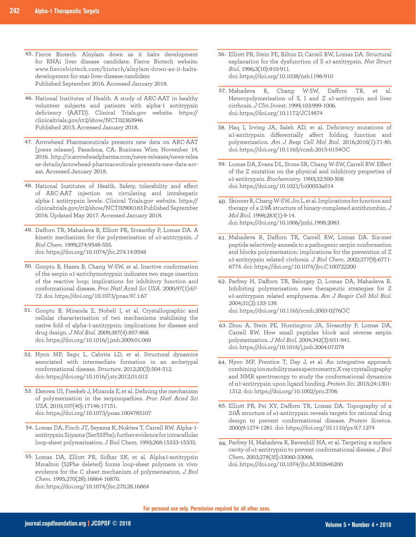- 45. Fierce Biotech. Alnylam down as it halts development for RNAi liver disease candidate. Fierce Biotech website. www.fiercebiotech.com/biotech/alnylam-down-as-it-haltsdevelopment-for-mai-liver-disease-candidate Published September 2016. Accessed January 2018.
- 46. National Institutes of Health. A study of ARC-AAT in healthy volunteer subjects and patients with alpha-1 antitrypsin deficiency (AATD). Clinical Trials.gov website. https:// clinicaltrials.gov/ct2/show/NCT02363946 Published 2015. Accessed January 2018.
- Arrowhead Pharmaceuticals presents new data on ARC-AAT 47. [press release]. Pasadena, CA: Business Wire; November 14, 2016. http://ir.arrowheadpharma.com/news-releases/news-relea se-details/arrowhead-pharmaceuticals-presents-new-data-arcaat. Accessed January 2018.
- 48. National Institutes of Health. Safety, tolerability and effect of ARC-AAT injection on circulating and intrahepatic alpha-1 antitrypsin levels. Clinical Trials.gov website. https:// clinicaltrials.gov/ct2/show/NCT02900183 Published September 2016. Updated May 2017. Accessed January 2018.
- 49. Dafforn TR, Mahadeva R, Elliott PR, Sivasothy P, Lomas DA. A kinetic mechanism for the polymerisation of  $\alpha$ 1-antitrypsin. *J Biol Chem*. 1999;274:9548-555. doi: https://doi.org/10.1074/jbc.274.14.9548
- 50. Gooptu B, Hazes B, Chang W-SW, et al. Inactive conformation of the serpin  $\alpha$ 1-antichymotrypsin indicates two stage insertion of the reactive loop; implications for inhibitory function and conformational disease. *Proc Natl Acad Sci USA*. 2000;97(1):67- 72. doi: https://doi.org/10.1073/pnas.97.1.67
- 51. Gooptu B, Miranda E, Nobeli I, et al. Crystallographic and cellular characterisation of two mechanisms stabilising the native fold of alpha-1-antitrypsin: implications for disease and drug design. *J Mol Biol*. 2009;387(4):857-868. doi: https://doi.org/10.1016/j.jmb.2009.01.069
- 52. Nyon MP, Segu L, Cabrita LD, et al. Structural dynamics associated with intermediate formation in an archetypal conformational disease. *Structure*. 2012;20(3):504-512. doi: https://doi.org/10.1016/j.str.2012.01.012
- 53. Ekeowa UI, Freekeb J, Miranda E, et al. Defining the mechanism of polymerization in the serpinopathies. *Proc Natl Acad Sci USA*. 2010;107(40):17146-17151. doi: https://doi.org/10.1073/pnas.1004785107
- 54. Lomas DA, Finch JT, Seyama K, Nukiwa T, Carrell RW. Alpha-1antitrypsin Siiyama (Ser53 Phe); further evidence for intracellular loop-sheet polymerisation. J Biol Chem. 1993;268:15333-15335.
- 55. Lomas DA, Elliott PR, Sidhar SK, et al. Alpha1-antitrypsin Mmalton (52Phe deleted) forms loop-sheet polymers in vivo: evidence for the C sheet mechanism of polymerisation. *J Biol Chem*. 1995;270(28):16864-16870. doi: https://doi.org/10.1074/jbc.270.28.16864
- 56. Elliott PR, Stein PE, Bilton D, Carrell RW, Lomas DA. Structural explanation for the dysfunction of S a1-antitrypsin. *Nat Struct Biol*. 1996;3(10):910-911. doi: https://doi.org/10.1038/nsb1196-910
- Chang W-SW, Dafforn TR, et al. Heteropolymerisation of S, I and Z  $\alpha$ 1-antitrypsin and liver cirrhosis. *J Clin Invest*. 1999;103:999-1006. doi: https://doi.org/10.1172/JCI4874 57. Mahadeva R,
- 58. Haq I, Irving JA, Saleh AD, et al. Deficiency mutations of α1-antitrypsin differentially affect folding, function and polymerization. *Am J Resp Cell Mol Biol*. 2016;2016(1):71-80. doi: https://doi.org/10.1165/rcmb.2015-0154OC
- 59. Lomas DA, Evans DL, Stone SR, Chang W-SW, Carrell RW. Effect of the Z mutation on the physical and inhibitory properties of 1-antitrypsin. *Biochemistry*. 1993;32:500-508. doi: https://doi.org/10.1021/bi00053a014
- 60. Skinner R, Chang W-SW, Jin L, et al. Implications for function and therapy of a 2.9Å structure of binary-complexed antithrombin. *J Mol Biol*. 1998;283(1):9-14. doi: https://doi.org/10.1006/jmbi.1998.2083
- 61. Mahadeva R, Dafforn TR, Carrell RW, Lomas DA. Six-mer peptide selectively anneals to a pathogenic serpin conformation and blocks polymerisation: implications for the prevention of Z 1-antitrypsin related cirrhosis. *J Biol Chem*. 2002;277(9):6771- 6774. doi: https://doi.org/10.1074/jbc.C100722200
- 62. Parfrey H, Dafforn TR, Belorgey D, Lomas DA, Mahadeva R. Inhibiting polymerisation: new therapeutic strategies for Z 1-antitrypsin related emphysema. *Am J Respir Cell Mol Biol*. 2004;31(2):133-139. doi: https://doi.org/10.1165/rcmb.2003-0276OC
- 63. Zhou A, Stein PE, Huntington JA, Sivasothy P, Lomas DA, Carrell RW. How small peptides block and reverse serpin polymerization. *J Mol Biol*. 2004;342(3):931-941. doi: https://doi.org/10.1016/j.jmb.2004.07.078
- Nyon MP, Prentice T, Day J, et al. An integrative approach 64. combining ion mobility mass spectrometry, X-ray crystallography and NMR spectroscopy to study the conformational dynamics of α1-antitrypsin upon ligand binding. *Protein Sci*. 2015;24:1301- 1312. doi: https://doi.org/10.1002/pro.2706
- 65. Elliott PR, Pei XY, Dafforn TR, Lomas DA. Topography of a 2.0Å structure of  $\alpha$ 1-antitrypsin reveals targets for rational drug design to prevent conformational disease. *Protein Science*. 2000;9:1274-1281. doi: https://doi.org/10.1110/ps.9.7.1274
- Parfrey H, Mahadeva R, Ravenhill NA, et al. Targeting a surface 66. cavity of  $\alpha$ 1-antitrypsin to prevent conformational disease. *J Biol Chem*. 2003;278(35):33060-33066. doi: https://doi.org/10.1074/jbc.M302646200